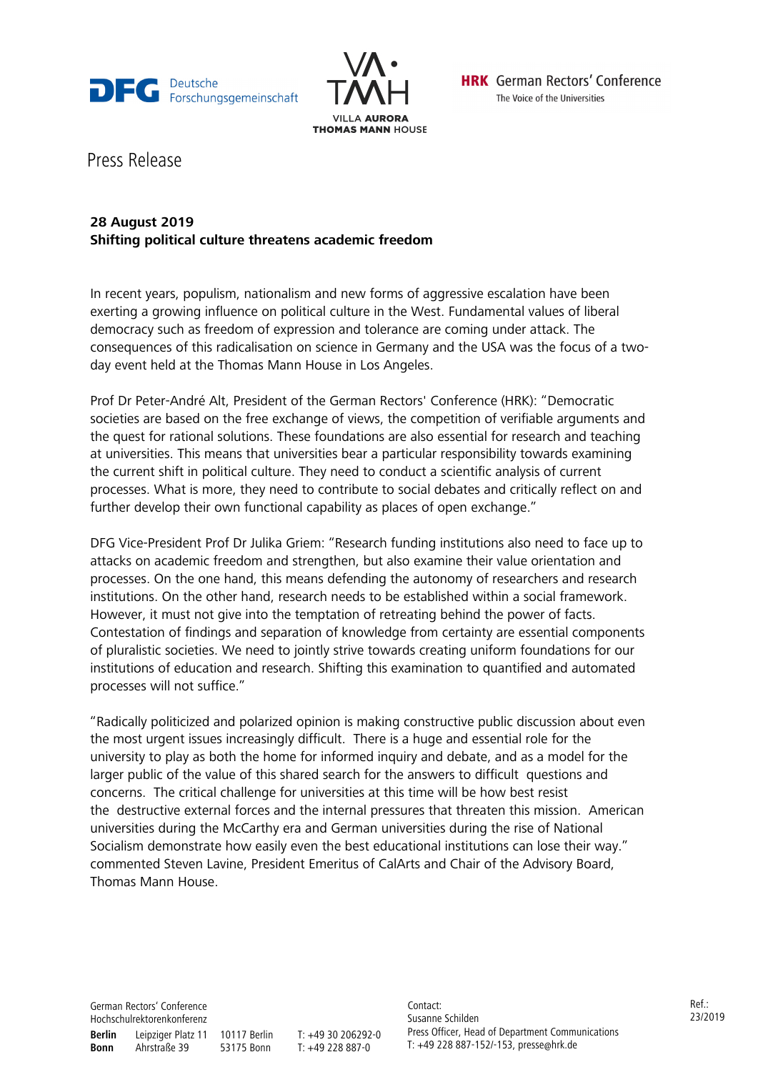



**HRK** German Rectors' Conference The Voice of the Universities

Press Release

## **28 August 2019 Shifting political culture threatens academic freedom**

In recent years, populism, nationalism and new forms of aggressive escalation have been exerting a growing influence on political culture in the West. Fundamental values of liberal democracy such as freedom of expression and tolerance are coming under attack. The consequences of this radicalisation on science in Germany and the USA was the focus of a twoday event held at the Thomas Mann House in Los Angeles.

Prof Dr Peter-André Alt, President of the German Rectors' Conference (HRK): "Democratic societies are based on the free exchange of views, the competition of verifiable arguments and the quest for rational solutions. These foundations are also essential for research and teaching at universities. This means that universities bear a particular responsibility towards examining the current shift in political culture. They need to conduct a scientific analysis of current processes. What is more, they need to contribute to social debates and critically reflect on and further develop their own functional capability as places of open exchange."

DFG Vice-President Prof Dr Julika Griem: "Research funding institutions also need to face up to attacks on academic freedom and strengthen, but also examine their value orientation and processes. On the one hand, this means defending the autonomy of researchers and research institutions. On the other hand, research needs to be established within a social framework. However, it must not give into the temptation of retreating behind the power of facts. Contestation of findings and separation of knowledge from certainty are essential components of pluralistic societies. We need to jointly strive towards creating uniform foundations for our institutions of education and research. Shifting this examination to quantified and automated processes will not suffice."

"Radically politicized and polarized opinion is making constructive public discussion about even the most urgent issues increasingly difficult. There is a huge and essential role for the university to play as both the home for informed inquiry and debate, and as a model for the larger public of the value of this shared search for the answers to difficult questions and concerns. The critical challenge for universities at this time will be how best resist the destructive external forces and the internal pressures that threaten this mission. American universities during the McCarthy era and German universities during the rise of National Socialism demonstrate how easily even the best educational institutions can lose their way." commented Steven Lavine, President Emeritus of CalArts and Chair of the Advisory Board, Thomas Mann House.

German Rectors' Conference Hochschulrektorenkonferenz **Berlin** Leipziger Platz 11 10117 Berlin T: +49 30 206292-0 **Bonn** Ahrstraße 39 53175 Bonn T: +49 228 887-0

Contact: Susanne Schilden Press Officer, Head of Department Communications T: +49 228 887-152/-153, presse@hrk.de